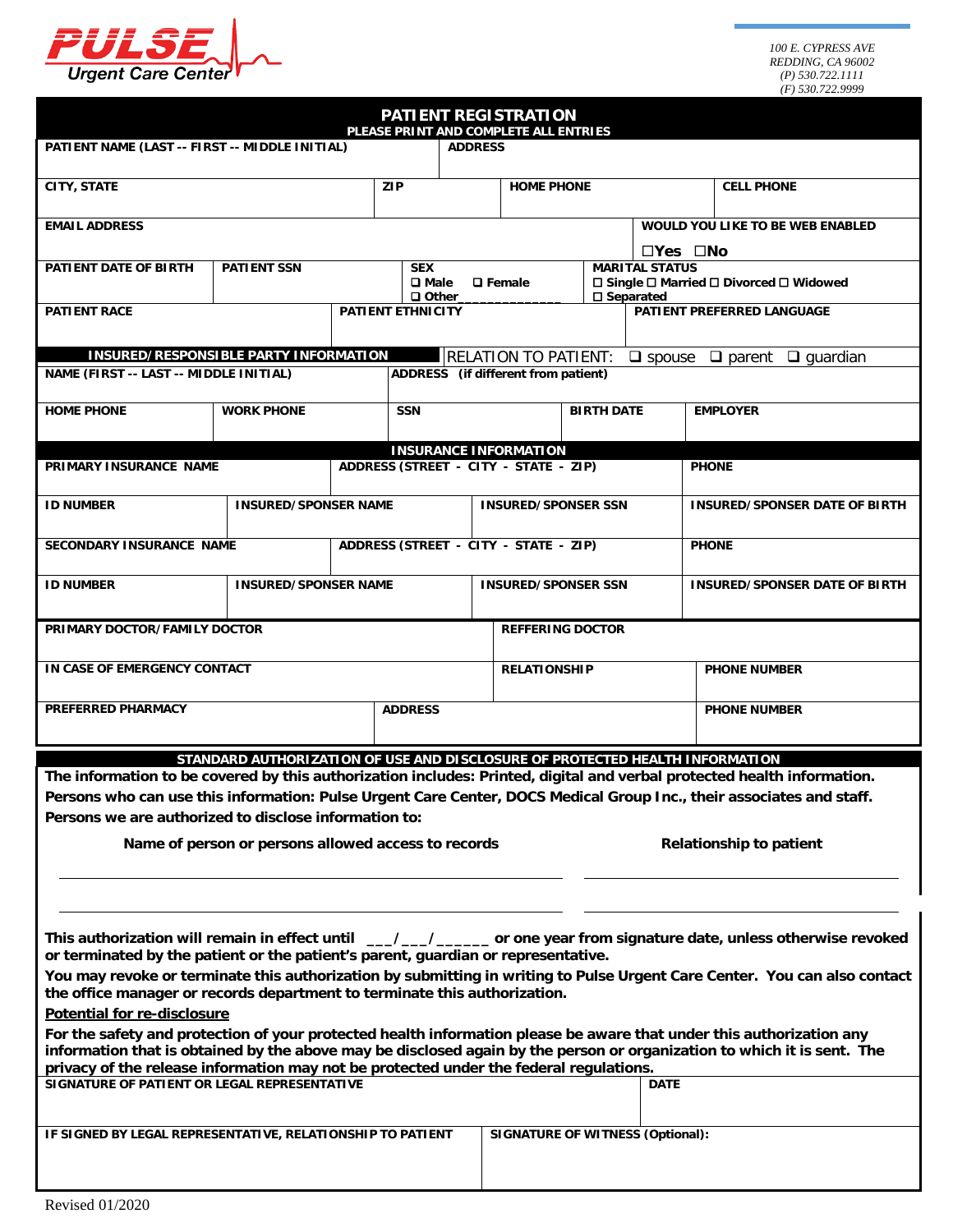

|                                                                                        |                                                                              |  | <b>PATIENT REGISTRATION</b><br>PLEASE PRINT AND COMPLETE ALL ENTRIES |                                         |                         |                                                                                                                       |                                                                                                                                                                                                                                                 |  |
|----------------------------------------------------------------------------------------|------------------------------------------------------------------------------|--|----------------------------------------------------------------------|-----------------------------------------|-------------------------|-----------------------------------------------------------------------------------------------------------------------|-------------------------------------------------------------------------------------------------------------------------------------------------------------------------------------------------------------------------------------------------|--|
| PATIENT NAME (LAST -- FIRST -- MIDDLE INITIAL)                                         |                                                                              |  | <b>ADDRESS</b>                                                       |                                         |                         |                                                                                                                       |                                                                                                                                                                                                                                                 |  |
| <b>CITY, STATE</b>                                                                     |                                                                              |  | <b>ZIP</b>                                                           | <b>HOME PHONE</b>                       |                         |                                                                                                                       | <b>CELL PHONE</b>                                                                                                                                                                                                                               |  |
| <b>EMAIL ADDRESS</b>                                                                   |                                                                              |  |                                                                      |                                         |                         |                                                                                                                       | WOULD YOU LIKE TO BE WEB ENABLED                                                                                                                                                                                                                |  |
| PATIENT DATE OF BIRTH                                                                  | <b>PATIENT SSN</b>                                                           |  | <b>SEX</b><br>$\square$ Male                                         | <b>Q</b> Female                         |                         | $\square$ Yes $\square$ No<br><b>MARITAL STATUS</b><br>□ Single □ Married □ Divorced □ Widowed<br>$\square$ Separated |                                                                                                                                                                                                                                                 |  |
| <b>PATIENT RACE</b>                                                                    |                                                                              |  | $\Box$ Other<br>PATIENT ETHNICITY                                    |                                         |                         | PATIENT PREFERRED LANGUAGE                                                                                            |                                                                                                                                                                                                                                                 |  |
|                                                                                        | INSURED/RESPONSIBLE PARTY INFORMATION                                        |  |                                                                      | <b>RELATION TO PATIENT:</b>             |                         | $\Box$ spouse                                                                                                         | $\Box$ parent<br>$\Box$ quardian                                                                                                                                                                                                                |  |
| NAME (FIRST -- LAST -- MIDDLE INITIAL)                                                 |                                                                              |  | ADDRESS (if different from patient)                                  |                                         |                         |                                                                                                                       |                                                                                                                                                                                                                                                 |  |
| <b>HOME PHONE</b>                                                                      | <b>WORK PHONE</b>                                                            |  | <b>SSN</b>                                                           |                                         | <b>BIRTH DATE</b>       |                                                                                                                       | <b>EMPLOYER</b>                                                                                                                                                                                                                                 |  |
|                                                                                        |                                                                              |  | <b>INSURANCE INFORMATION</b>                                         |                                         |                         |                                                                                                                       |                                                                                                                                                                                                                                                 |  |
| PRIMARY INSURANCE NAME                                                                 |                                                                              |  | ADDRESS (STREET - CITY - STATE - ZIP)                                |                                         |                         |                                                                                                                       | <b>PHONE</b>                                                                                                                                                                                                                                    |  |
| <b>ID NUMBER</b>                                                                       | <b>INSURED/SPONSER NAME</b>                                                  |  |                                                                      | <b>INSURED/SPONSER SSN</b>              |                         |                                                                                                                       | <b>INSURED/SPONSER DATE OF BIRTH</b>                                                                                                                                                                                                            |  |
| <b>SECONDARY INSURANCE NAME</b>                                                        |                                                                              |  | ADDRESS (STREET - CITY - STATE - ZIP)                                |                                         |                         |                                                                                                                       | <b>PHONE</b>                                                                                                                                                                                                                                    |  |
| <b>ID NUMBER</b>                                                                       | <b>INSURED/SPONSER NAME</b>                                                  |  |                                                                      | <b>INSURED/SPONSER SSN</b>              |                         |                                                                                                                       | <b>INSURED/SPONSER DATE OF BIRTH</b>                                                                                                                                                                                                            |  |
| PRIMARY DOCTOR/FAMILY DOCTOR                                                           |                                                                              |  |                                                                      |                                         | <b>REFFERING DOCTOR</b> |                                                                                                                       |                                                                                                                                                                                                                                                 |  |
| IN CASE OF EMERGENCY CONTACT                                                           |                                                                              |  |                                                                      | <b>RELATIONSHIP</b>                     |                         |                                                                                                                       | <b>PHONE NUMBER</b>                                                                                                                                                                                                                             |  |
| <b>PREFERRED PHARMACY</b>                                                              |                                                                              |  | <b>ADDRESS</b>                                                       |                                         |                         |                                                                                                                       | <b>PHONE NUMBER</b>                                                                                                                                                                                                                             |  |
|                                                                                        | STANDARD AUTHORIZATION OF USE AND DISCLOSURE OF PROTECTED HEALTH INFORMATION |  |                                                                      |                                         |                         |                                                                                                                       |                                                                                                                                                                                                                                                 |  |
|                                                                                        |                                                                              |  |                                                                      |                                         |                         |                                                                                                                       | The information to be covered by this authorization includes: Printed, digital and verbal protected health information.                                                                                                                         |  |
|                                                                                        |                                                                              |  |                                                                      |                                         |                         |                                                                                                                       | Persons who can use this information: Pulse Urgent Care Center, DOCS Medical Group Inc., their associates and staff.                                                                                                                            |  |
| Persons we are authorized to disclose information to:                                  |                                                                              |  |                                                                      |                                         |                         |                                                                                                                       |                                                                                                                                                                                                                                                 |  |
| Name of person or persons allowed access to records<br><b>Relationship to patient</b>  |                                                                              |  |                                                                      |                                         |                         |                                                                                                                       |                                                                                                                                                                                                                                                 |  |
|                                                                                        |                                                                              |  |                                                                      |                                         |                         |                                                                                                                       |                                                                                                                                                                                                                                                 |  |
| or terminated by the patient or the patient's parent, guardian or representative.      |                                                                              |  |                                                                      |                                         |                         |                                                                                                                       | This authorization will remain in effect until __/__/___/____ or one year from signature date, unless otherwise revoked                                                                                                                         |  |
| the office manager or records department to terminate this authorization.              |                                                                              |  |                                                                      |                                         |                         |                                                                                                                       | You may revoke or terminate this authorization by submitting in writing to Pulse Urgent Care Center. You can also contact                                                                                                                       |  |
| Potential for re-disclosure                                                            |                                                                              |  |                                                                      |                                         |                         |                                                                                                                       |                                                                                                                                                                                                                                                 |  |
| privacy of the release information may not be protected under the federal regulations. |                                                                              |  |                                                                      |                                         |                         |                                                                                                                       | For the safety and protection of your protected health information please be aware that under this authorization any<br>information that is obtained by the above may be disclosed again by the person or organization to which it is sent. The |  |
| SIGNATURE OF PATIENT OR LEGAL REPRESENTATIVE                                           |                                                                              |  |                                                                      |                                         |                         | <b>DATE</b>                                                                                                           |                                                                                                                                                                                                                                                 |  |
| IF SIGNED BY LEGAL REPRESENTATIVE, RELATIONSHIP TO PATIENT                             |                                                                              |  |                                                                      | <b>SIGNATURE OF WITNESS (Optional):</b> |                         |                                                                                                                       |                                                                                                                                                                                                                                                 |  |
|                                                                                        |                                                                              |  |                                                                      |                                         |                         |                                                                                                                       |                                                                                                                                                                                                                                                 |  |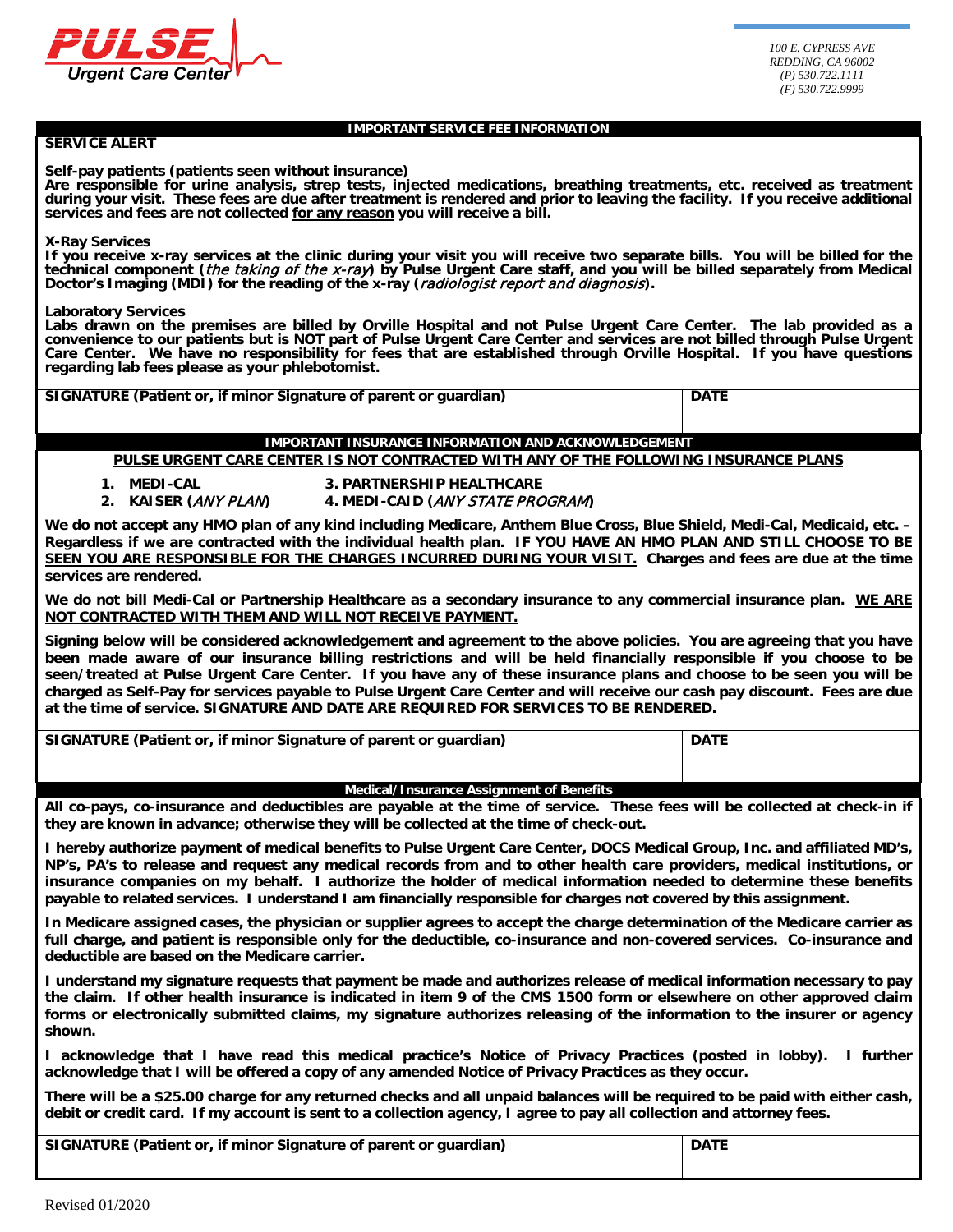

#### **IMPORTANT SERVICE FEE INFORMATION**

#### **SERVICE ALERT**

**Self-pay patients (patients seen without insurance)** 

**Are responsible for urine analysis, strep tests, injected medications, breathing treatments, etc. received as treatment during your visit. These fees are due after treatment is rendered and prior to leaving the facility. If you receive additional services and fees are not collected for any reason you will receive a bill.**

#### **X-Ray Services**

**If you receive x-ray services at the clinic during your visit you will receive two separate bills. You will be billed for the technical component (**the taking of the x-ray**) by Pulse Urgent Care staff, and you will be billed separately from Medical Doctor's Imaging (MDI) for the reading of the x-ray (**radiologist report and diagnosis**).**

**Laboratory Services**

**Labs drawn on the premises are billed by Orville Hospital and not Pulse Urgent Care Center. The lab provided as a convenience to our patients but is NOT part of Pulse Urgent Care Center and services are not billed through Pulse Urgent Care Center. We have no responsibility for fees that are established through Orville Hospital. If you have questions regarding lab fees please as your phlebotomist.**

| SIGNATURE (Patient or, if minor Signature of parent or guardian) | <b>DATE</b> |
|------------------------------------------------------------------|-------------|
|                                                                  |             |
|                                                                  |             |

## **IMPORTANT INSURANCE INFORMATION AND ACKNOWLEDGEMENT**

**PULSE URGENT CARE CENTER IS NOT CONTRACTED WITH ANY OF THE FOLLOWING INSURANCE PLANS**

- **1. MEDI-CAL 3. PARTNERSHIP HEALTHCARE**
- **2. KAISER (**ANY PLAN**) 4. MEDI-CAID (**ANY STATE PROGRAM**)**

**We do not accept any HMO plan of any kind including Medicare, Anthem Blue Cross, Blue Shield, Medi-Cal, Medicaid, etc. – Regardless if we are contracted with the individual health plan. IF YOU HAVE AN HMO PLAN AND STILL CHOOSE TO BE SEEN YOU ARE RESPONSIBLE FOR THE CHARGES INCURRED DURING YOUR VISIT. Charges and fees are due at the time services are rendered.**

**We do not bill Medi-Cal or Partnership Healthcare as a secondary insurance to any commercial insurance plan. WE ARE NOT CONTRACTED WITH THEM AND WILL NOT RECEIVE PAYMENT.**

**Signing below will be considered acknowledgement and agreement to the above policies. You are agreeing that you have been made aware of our insurance billing restrictions and will be held financially responsible if you choose to be seen/treated at Pulse Urgent Care Center. If you have any of these insurance plans and choose to be seen you will be charged as Self-Pay for services payable to Pulse Urgent Care Center and will receive our cash pay discount. Fees are due at the time of service. SIGNATURE AND DATE ARE REQUIRED FOR SERVICES TO BE RENDERED.**

| SIGNATURE (Patient or, if minor Signature of parent or guardian) | <b>DATE</b> |  |  |
|------------------------------------------------------------------|-------------|--|--|
| Medical/Insurance Assignment of Benefits                         |             |  |  |

**All co-pays, co-insurance and deductibles are payable at the time of service. These fees will be collected at check-in if they are known in advance; otherwise they will be collected at the time of check-out.**

**I hereby authorize payment of medical benefits to Pulse Urgent Care Center, DOCS Medical Group, Inc. and affiliated MD's, NP's, PA's to release and request any medical records from and to other health care providers, medical institutions, or insurance companies on my behalf. I authorize the holder of medical information needed to determine these benefits payable to related services. I understand I am financially responsible for charges not covered by this assignment.**

**In Medicare assigned cases, the physician or supplier agrees to accept the charge determination of the Medicare carrier as full charge, and patient is responsible only for the deductible, co-insurance and non-covered services. Co-insurance and deductible are based on the Medicare carrier.**

**I understand my signature requests that payment be made and authorizes release of medical information necessary to pay the claim. If other health insurance is indicated in item 9 of the CMS 1500 form or elsewhere on other approved claim forms or electronically submitted claims, my signature authorizes releasing of the information to the insurer or agency shown.**

**I acknowledge that I have read this medical practice's Notice of Privacy Practices (posted in lobby). I further acknowledge that I will be offered a copy of any amended Notice of Privacy Practices as they occur.**

**There will be a \$25.00 charge for any returned checks and all unpaid balances will be required to be paid with either cash, debit or credit card. If my account is sent to a collection agency, I agree to pay all collection and attorney fees.**

| SIGNATURE (Patient or, if minor Signature of parent or guardian) | <b>DATE</b> |
|------------------------------------------------------------------|-------------|
|                                                                  |             |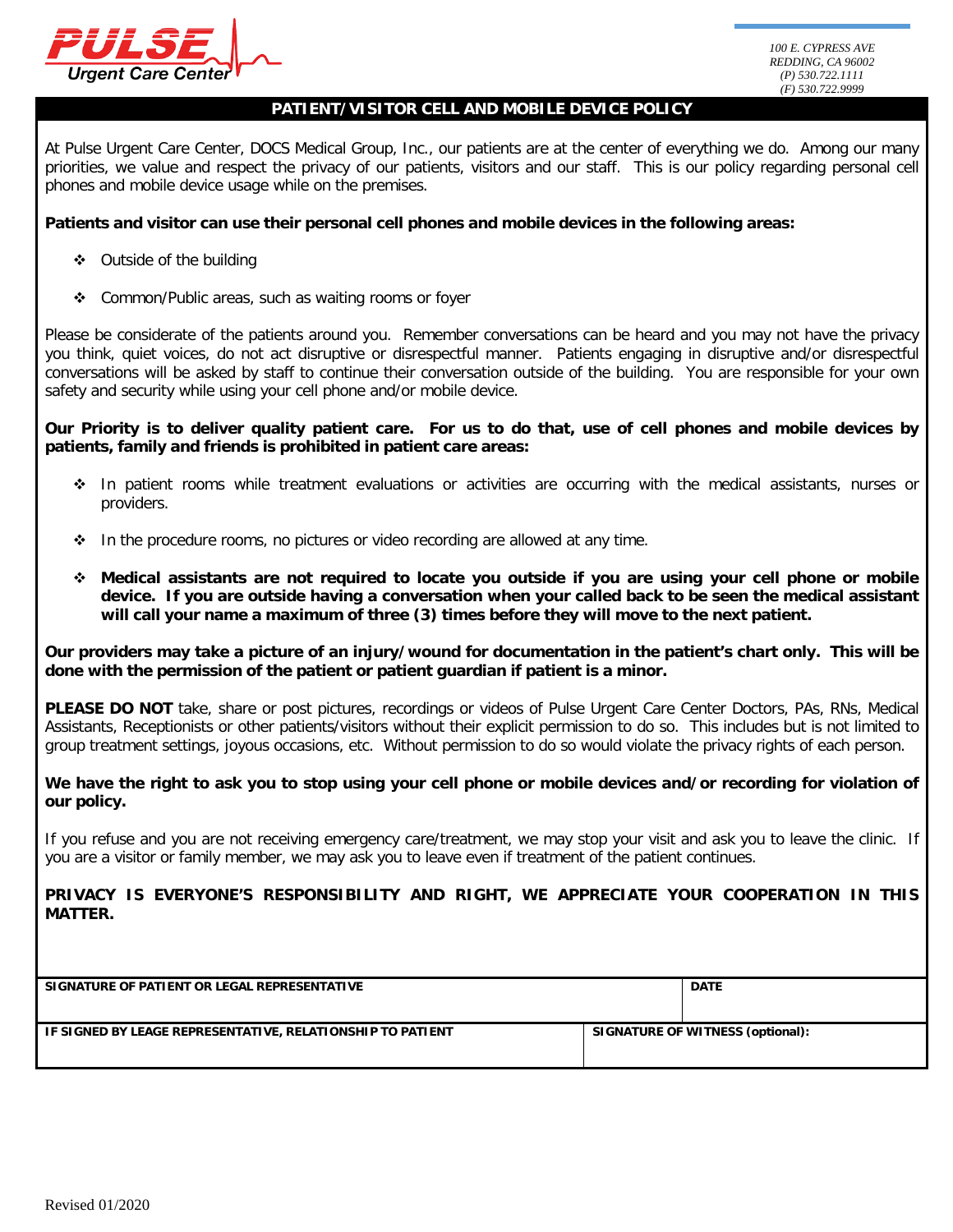

### **PATIENT/VISITOR CELL AND MOBILE DEVICE POLICY**

At Pulse Urgent Care Center, DOCS Medical Group, Inc., our patients are at the center of everything we do. Among our many priorities, we value and respect the privacy of our patients, visitors and our staff. This is our policy regarding personal cell phones and mobile device usage while on the premises.

## **Patients and visitor can use their personal cell phones and mobile devices in the following areas:**

- Outside of the building
- Common/Public areas, such as waiting rooms or foyer

Please be considerate of the patients around you. Remember conversations can be heard and you may not have the privacy you think, quiet voices, do not act disruptive or disrespectful manner. Patients engaging in disruptive and/or disrespectful conversations will be asked by staff to continue their conversation outside of the building. You are responsible for your own safety and security while using your cell phone and/or mobile device.

**Our Priority is to deliver quality patient care. For us to do that, use of cell phones and mobile devices by patients, family and friends is prohibited in patient care areas:**

- In patient rooms while treatment evaluations or activities are occurring with the medical assistants, nurses or providers.
- $\cdot \cdot$  In the procedure rooms, no pictures or video recording are allowed at any time.
- **Medical assistants are not required to locate you outside if you are using your cell phone or mobile device. If you are outside having a conversation when your called back to be seen the medical assistant will call your name a maximum of three (3) times before they will move to the next patient.**

**Our providers may take a picture of an injury/wound for documentation in the patient's chart only. This will be done with the permission of the patient or patient guardian if patient is a minor.**

**PLEASE DO NOT** take, share or post pictures, recordings or videos of Pulse Urgent Care Center Doctors, PAs, RNs, Medical Assistants, Receptionists or other patients/visitors without their explicit permission to do so. This includes but is not limited to group treatment settings, joyous occasions, etc. Without permission to do so would violate the privacy rights of each person.

We have the right to ask you to stop using your cell phone or mobile devices and/or recording for violation of **our policy.**

If you refuse and you are not receiving emergency care/treatment, we may stop your visit and ask you to leave the clinic. If you are a visitor or family member, we may ask you to leave even if treatment of the patient continues.

**PRIVACY IS EVERYONE'S RESPONSIBILITY AND RIGHT, WE APPRECIATE YOUR COOPERATION IN THIS MATTER.**

| SIGNATURE OF PATIENT OR LEGAL REPRESENTATIVE               | <b>DATE</b>                      |
|------------------------------------------------------------|----------------------------------|
|                                                            |                                  |
|                                                            |                                  |
|                                                            |                                  |
| IF SIGNED BY LEAGE REPRESENTATIVE, RELATIONSHIP TO PATIENT | SIGNATURE OF WITNESS (optional): |
|                                                            |                                  |
|                                                            |                                  |
|                                                            |                                  |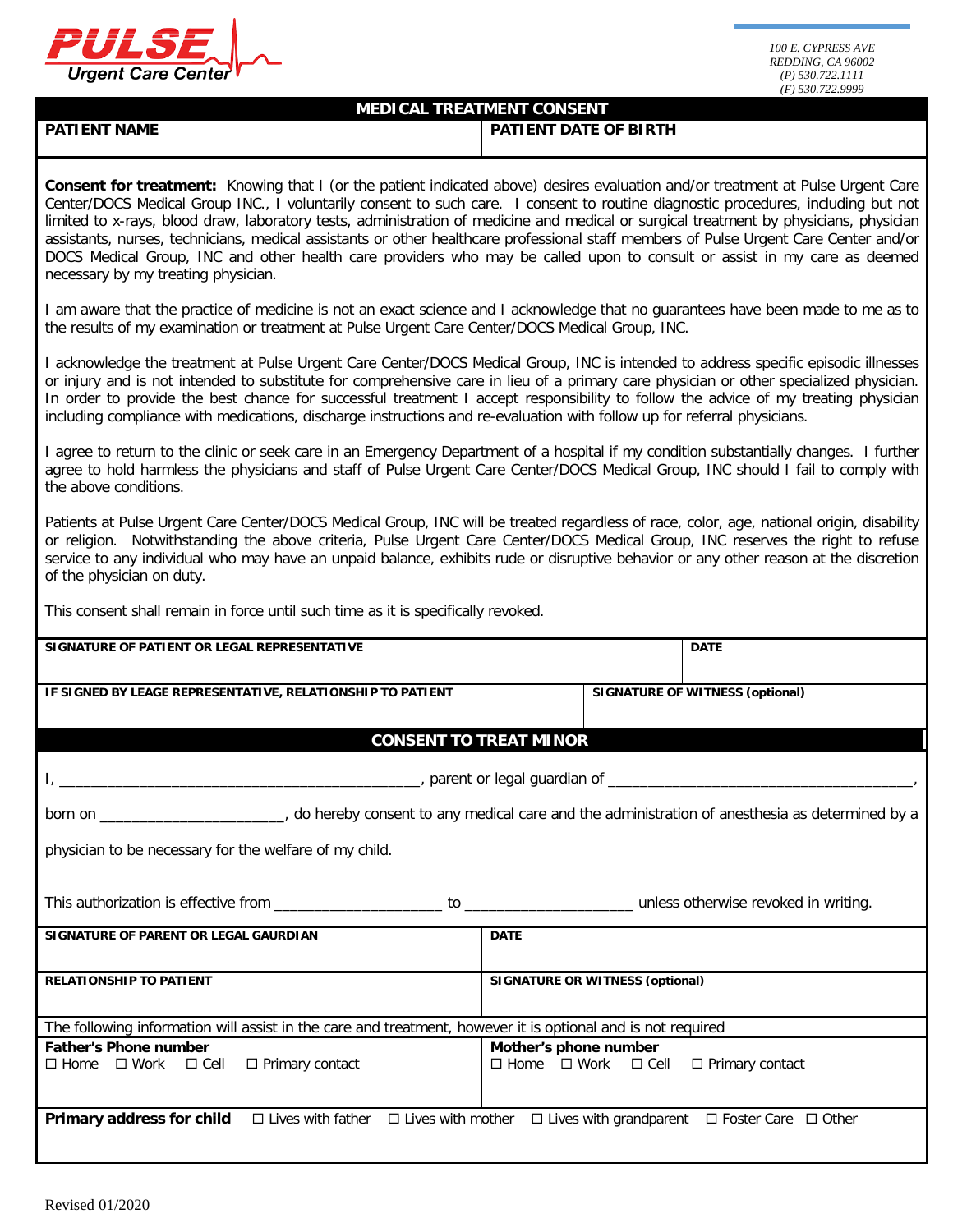

# **MEDICAL TREATMENT CONSENT PATIENT NAME PATIENT DATE OF BIRTH Consent for treatment:** Knowing that I (or the patient indicated above) desires evaluation and/or treatment at Pulse Urgent Care Center/DOCS Medical Group INC., I voluntarily consent to such care. I consent to routine diagnostic procedures, including but not limited to x-rays, blood draw, laboratory tests, administration of medicine and medical or surgical treatment by physicians, physician assistants, nurses, technicians, medical assistants or other healthcare professional staff members of Pulse Urgent Care Center and/or DOCS Medical Group, INC and other health care providers who may be called upon to consult or assist in my care as deemed necessary by my treating physician. I am aware that the practice of medicine is not an exact science and I acknowledge that no guarantees have been made to me as to the results of my examination or treatment at Pulse Urgent Care Center/DOCS Medical Group, INC. I acknowledge the treatment at Pulse Urgent Care Center/DOCS Medical Group, INC is intended to address specific episodic illnesses or injury and is not intended to substitute for comprehensive care in lieu of a primary care physician or other specialized physician. In order to provide the best chance for successful treatment I accept responsibility to follow the advice of my treating physician including compliance with medications, discharge instructions and re-evaluation with follow up for referral physicians. I agree to return to the clinic or seek care in an Emergency Department of a hospital if my condition substantially changes. I further agree to hold harmless the physicians and staff of Pulse Urgent Care Center/DOCS Medical Group, INC should I fail to comply with the above conditions. Patients at Pulse Urgent Care Center/DOCS Medical Group, INC will be treated regardless of race, color, age, national origin, disability or religion. Notwithstanding the above criteria, Pulse Urgent Care Center/DOCS Medical Group, INC reserves the right to refuse service to any individual who may have an unpaid balance, exhibits rude or disruptive behavior or any other reason at the discretion of the physician on duty. This consent shall remain in force until such time as it is specifically revoked. **SIGNATURE OF PATIENT OR LEGAL REPRESENTATIVE DATE IF SIGNED BY LEAGE REPRESENTATIVE, RELATIONSHIP TO PATIENT SIGNATURE OF WITNESS (optional) CONSENT TO TREAT MINOR** I, \_\_\_\_\_\_\_\_\_\_\_\_\_\_\_\_\_\_\_\_\_\_\_\_\_\_\_\_\_\_\_\_\_\_\_\_\_\_\_\_\_\_\_\_\_, parent or legal guardian of \_\_\_\_\_\_\_\_\_\_\_\_\_\_\_\_\_\_\_\_\_\_\_\_\_\_\_\_\_\_\_\_\_\_\_\_\_\_, born on \_\_\_\_\_\_\_\_\_\_\_\_\_\_\_\_\_\_\_\_\_\_\_, do hereby consent to any medical care and the administration of anesthesia as determined by a physician to be necessary for the welfare of my child. This authorization is effective from \_\_\_\_\_\_\_\_\_\_\_\_\_\_\_\_\_\_\_\_\_ to \_\_\_\_\_\_\_\_\_\_\_\_\_\_\_\_\_\_\_\_\_ unless otherwise revoked in writing. **SIGNATURE OF PARENT OR LEGAL GAURDIAN DATE RELATIONSHIP TO PATIENT SIGNATURE OR WITNESS (optional)** The following information will assist in the care and treatment, however it is optional and is not required **Father's Phone number**  $\Box$  Home  $\Box$  Work  $\Box$  Cell  $\Box$  Primary contact **Mother's phone number**  $\Box$  Home  $\Box$  Work  $\Box$  Cell  $\Box$  Primary contact **Primary address for child**  Lives with father Lives with mother Lives with grandparent Foster Care Other